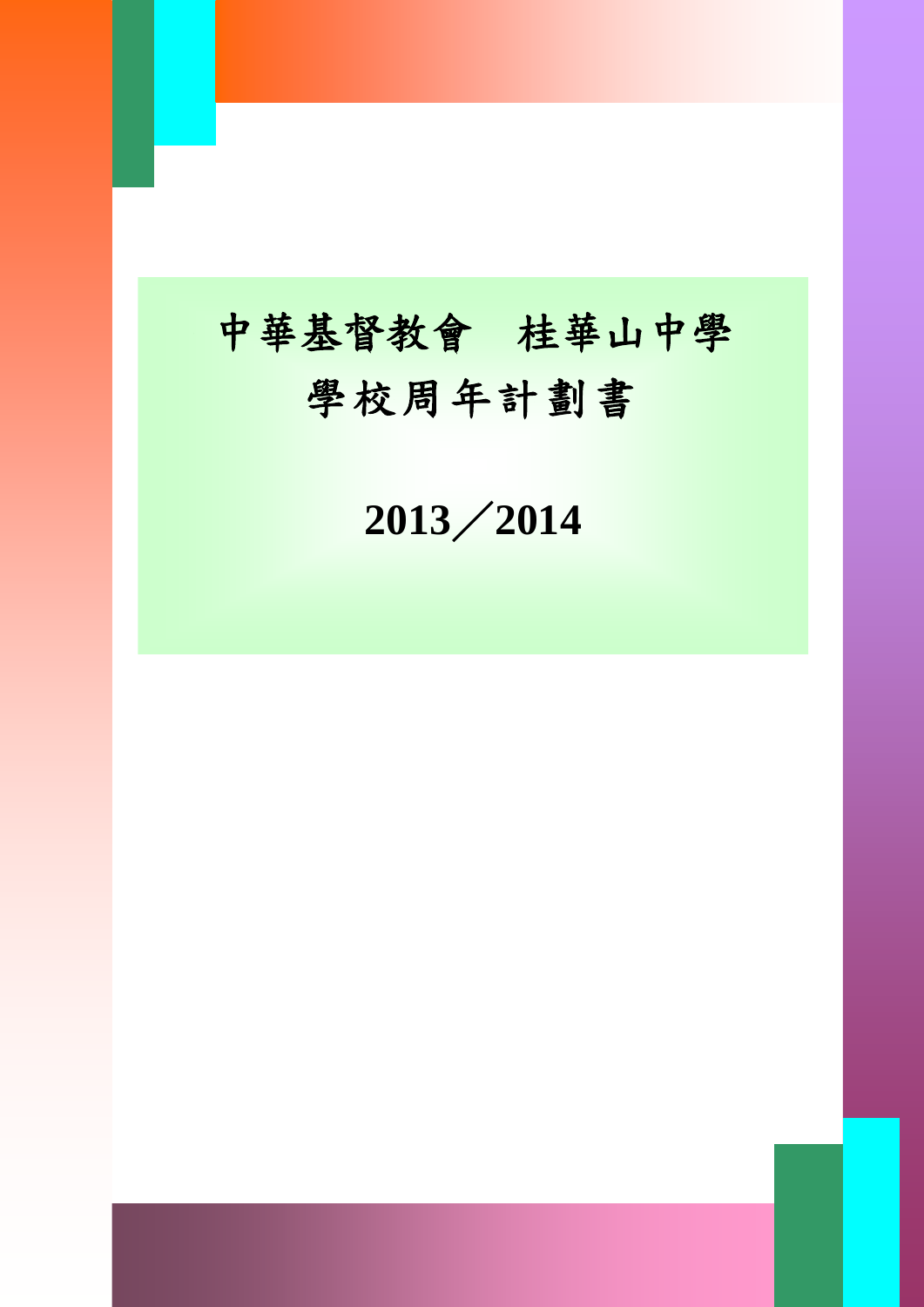# 中華基督教會 桂華山中學 學校周年計劃書

I

《此範本適用於小學、中學及特殊學校》 ABC 學校 **2013**/**2014**

學校周年計劃 0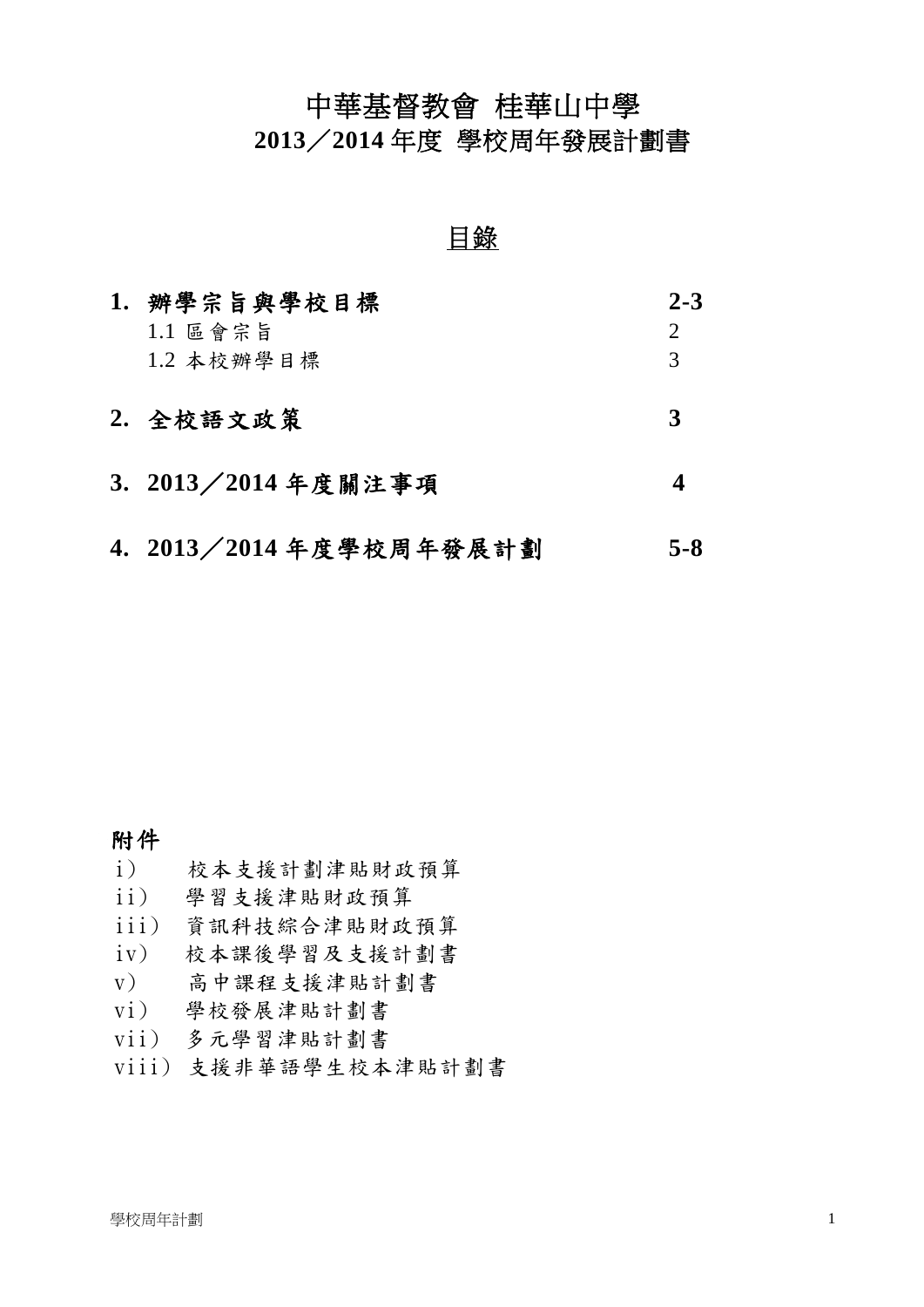# 中華基督教會 桂華山中學

**2013**/**2014** 年度 學校周年發展計劃書

## 目錄

| 1. | 辦學宗旨與學校目標                 | $2 - 3$        |
|----|---------------------------|----------------|
|    | $1.1 \nE$ 會宗旨             | $\overline{2}$ |
|    | 1.2 本校辦學目標                | 3              |
|    |                           | 3              |
|    | 2. 全校語文政策                 |                |
|    | 3. 2013 / 2014 年度關注事項     |                |
|    |                           |                |
|    | 4. 2013 / 2014 年度學校周年發展計劃 | 5-8            |

#### 附件

- i) 校本支援計劃津貼財政預算
- ii) 學習支援津貼財政預算
- iii) 資訊科技綜合津貼財政預算
- iv) 校本課後學習及支援計劃書
- v) 高中課程支援津貼計劃書
- vi) 學校發展津貼計劃書
- vii) 多元學習津貼計劃書
- viii) 支援非華語學生校本津貼計劃書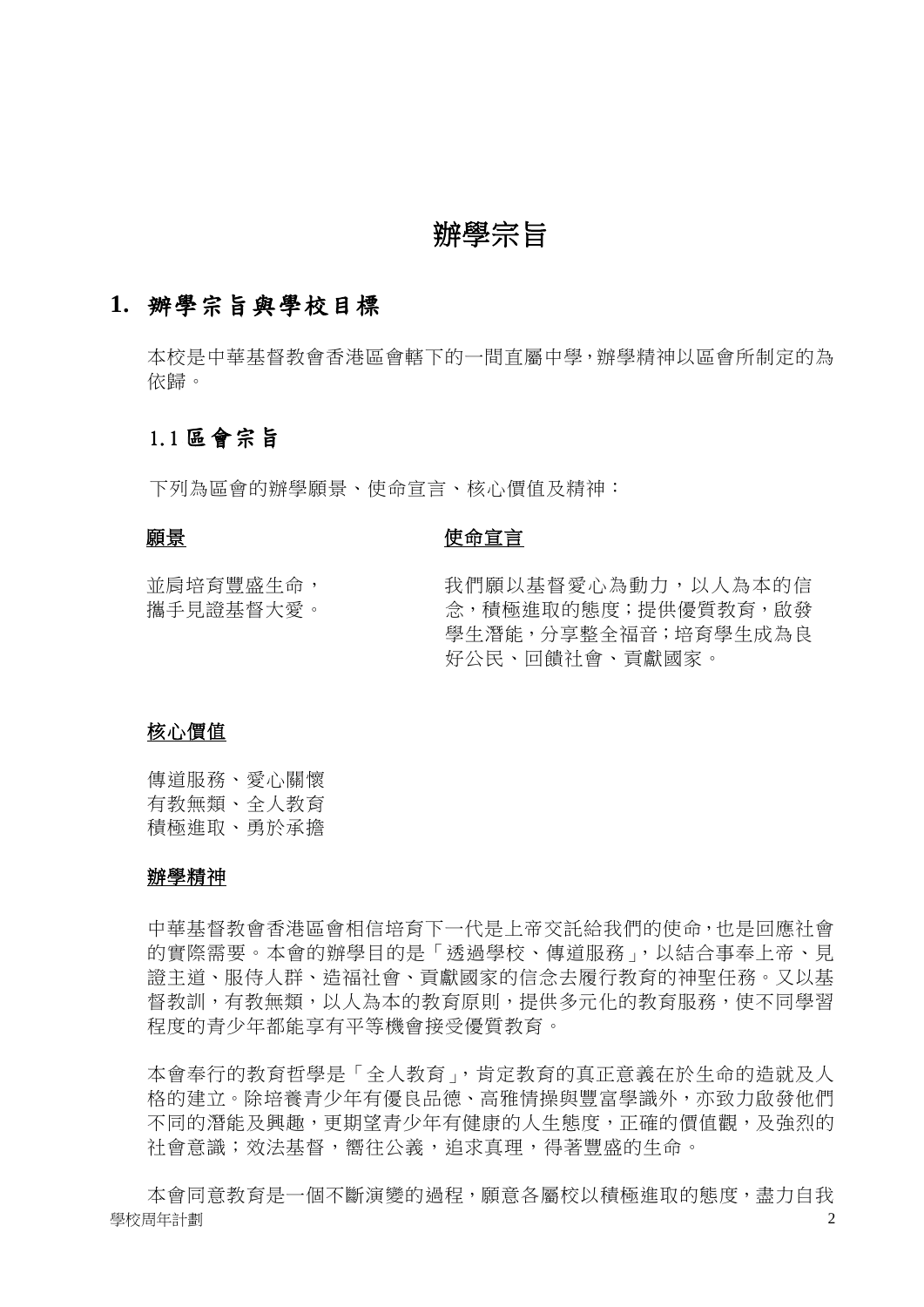## 辦學宗旨

#### **1.** 辦學宗旨與學校目標

本校是中華基督教會香港區會轄下的一間直屬中學,辦學精神以區會所制定的為 依歸。

#### 1.1 區會宗旨

下列為區會的辦學願景、使命宣言、核心價值及精神:

#### 願景

#### 使命宣言

並肩培育豐盛生命, 攜手見證基督大愛。 我們願以基督愛心為動力,以人為本的信 念,積極進取的態度;提供優質教育,啟發 學生潛能,分享整全福音;培育學生成為良 好公民、回饋社會、貢獻國家。

#### 核心價值

傳道服務、愛心關懷 有教無類、全人教育 積極進取、勇於承擔

#### 辦學精神

中華基督教會香港區會相信培育下一代是上帝交託給我們的使命,也是回應社會 的實際需要。本會的辦學目的是「透過學校、傳道服務」,以結合事奉上帝、見 證主道、服侍人群、造福社會、貢獻國家的信念去履行教育的神聖任務。又以基 督教訓,有教無類,以人為本的教育原則,提供多元化的教育服務,使不同學習 程度的青少年都能享有平等機會接受優質教育。

本會奉行的教育哲學是「全人教育」,肯定教育的真正意義在於生命的造就及人 格的建立。除培養青少年有優良品德、高雅情操與豐富學識外,亦致力啟發他們 不同的潛能及興趣,更期望青少年有健康的人生態度,正確的價值觀,及強烈的 社會意識;效法基督,嚮往公義,追求真理,得著豐盛的生命。

學校周年計劃 2 本會同意教育是一個不斷演變的過程,願意各屬校以積極進取的態度,盡力自我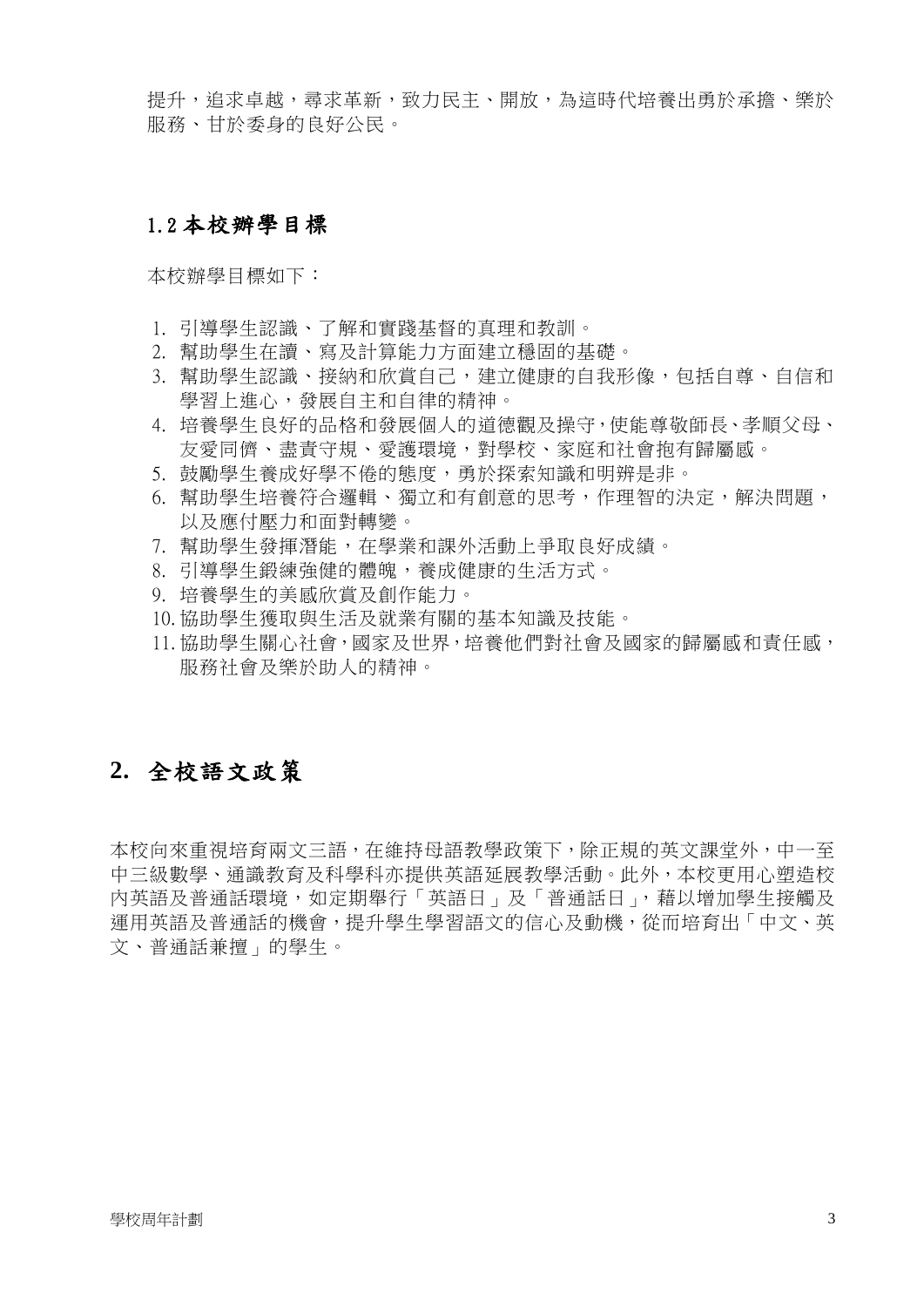提升,追求卓越,尋求革新,致力民主、開放,為這時代培養出勇於承擔、樂於 服務、甘於委身的良好公民。

#### 1.2 本校辦學目標

本校辦學目標如下:

- 1. 引導學生認識、了解和實踐基督的真理和教訓。
- 2. 幫助學生在讀、寫及計算能力方面建立穩固的基礎。
- 3. 幫助學生認識、接納和欣賞自己,建立健康的自我形像,包括自尊、自信和 學習上進心,發展自主和自律的精神。
- 4. 培養學生良好的品格和發展個人的道德觀及操守,使能尊敬師長、孝順父母、 友愛同儕、盡責守規、愛護環境,對學校、家庭和社會抱有歸屬感。
- 5. 鼓勵學生養成好學不倦的態度,勇於探索知識和明辨是非。
- 6. 幫助學生培養符合邏輯、獨立和有創意的思考,作理智的決定,解決問題, 以及應付壓力和面對轉變。
- 7. 幫助學生發揮潛能,在學業和課外活動上爭取良好成績。
- 8. 引導學生鍛練強健的體魄,養成健康的生活方式。
- 9. 培養學生的美感欣賞及創作能力。
- 10. 協助學生獲取與生活及就業有關的基本知識及技能。
- 11. 協助學生關心社會,國家及世界,培養他們對社會及國家的歸屬感和責任感, 服務社會及樂於助人的精神。

## **2.** 全校語文政策

本校向來重視培育兩文三語,在維持母語教學政策下,除正規的英文課堂外,中一至 中三級數學、通識教育及科學科亦提供英語延展教學活動。此外,本校更用心塑造校 內英語及普通話環境,如定期舉行「英語日」及「普通話日」,藉以增加學生接觸及 運用英語及普通話的機會,提升學生學習語文的信心及動機,從而培育出「中文、英 文、普通話兼擅」的學生。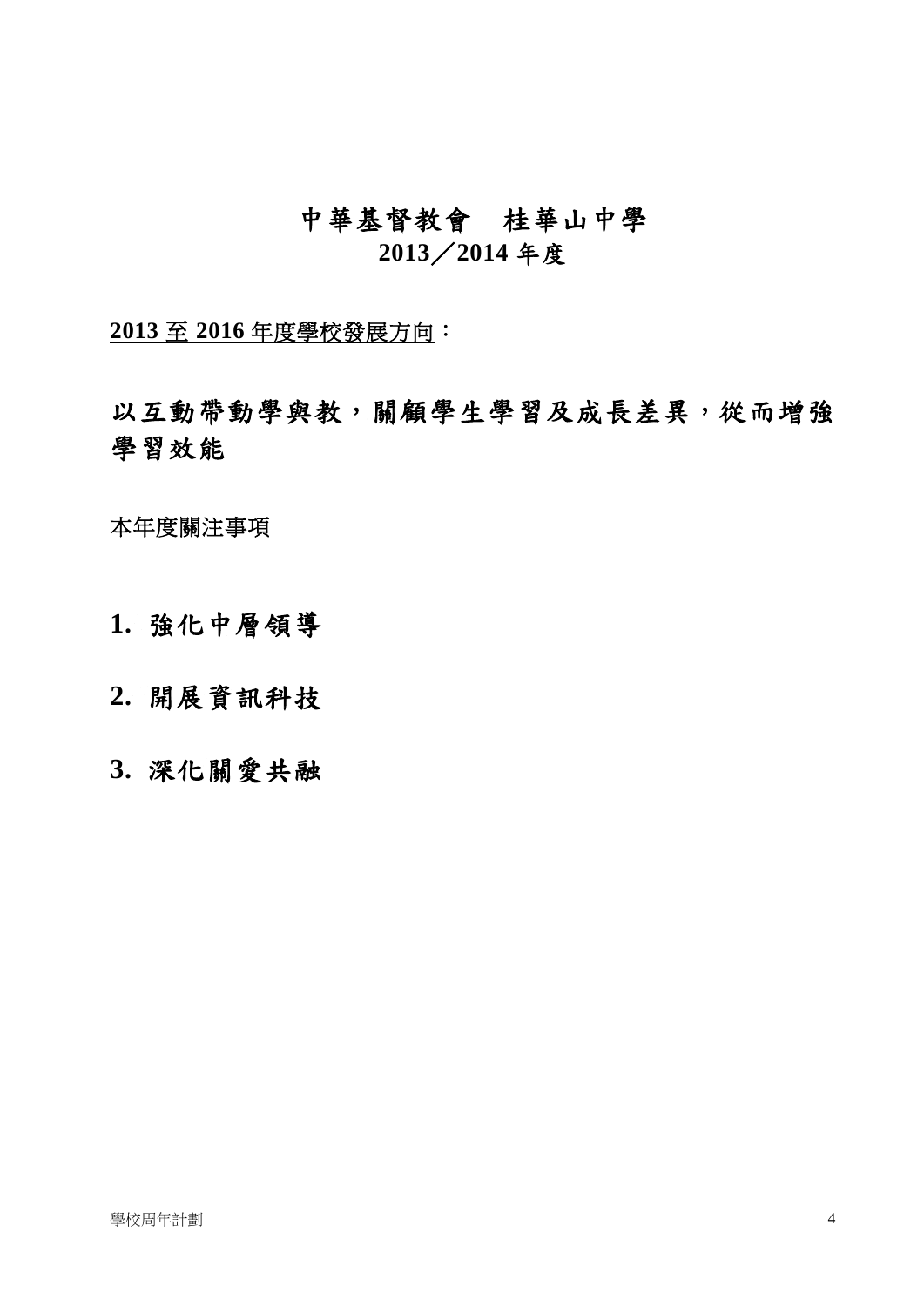# 中華基督教會桂華山中學 **2013**/**2014** 年度

**2013** 至 **2016** 年度學校發展方向:

以互動帶動學與教,關顧學生學習及成長差異,從而增強 學習效能

本年度關注事項

**1.** 強化中層領導

**2.** 開展資訊科技

**3.** 深化關愛共融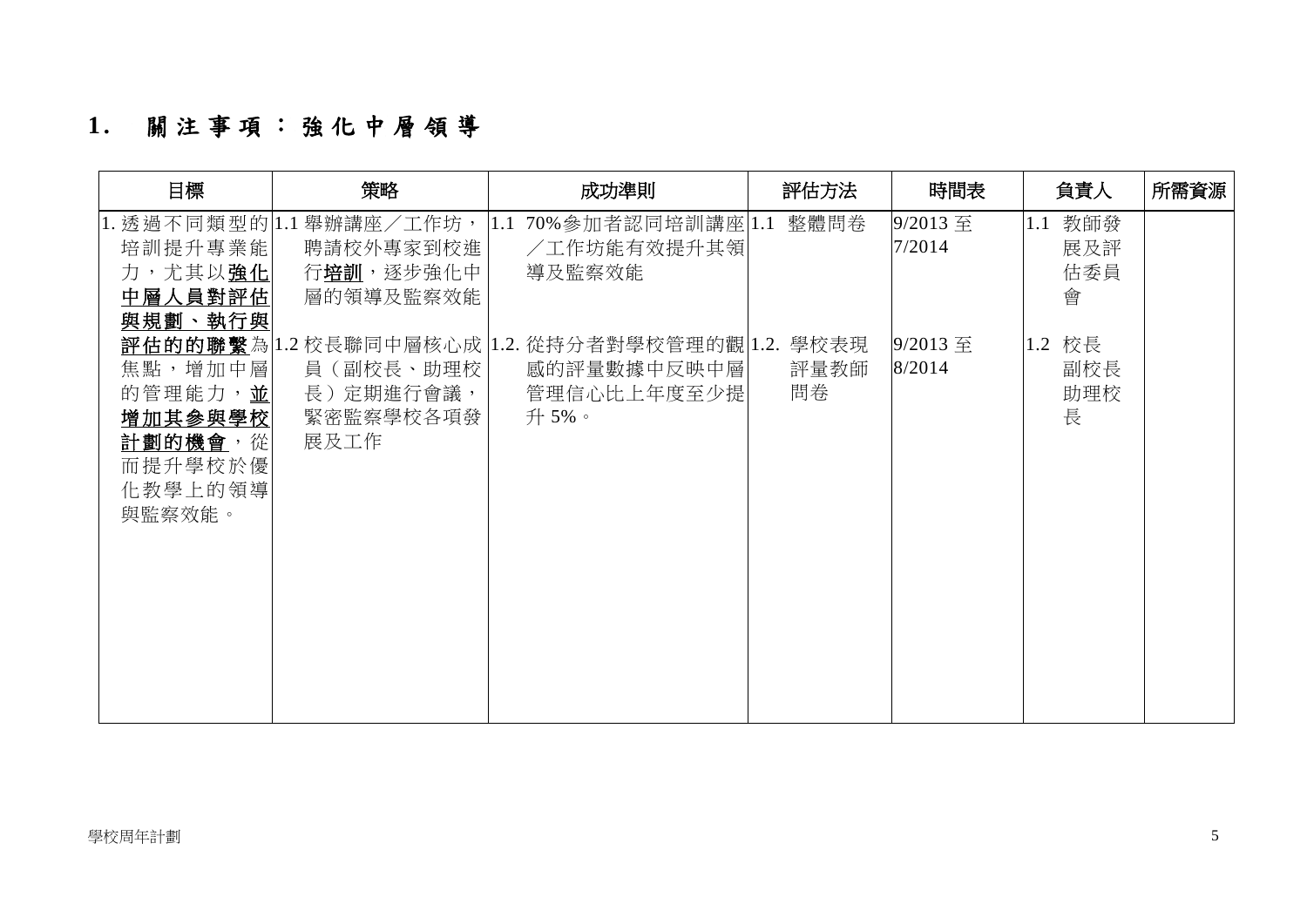# **1 .** 關注事項: 強 化 中 層 領 導

| 目標                                                                       | 策略                                                              | 成功準則                                                                                  | 評估方法       | 時間表                | 負責人                        | 所需資源 |
|--------------------------------------------------------------------------|-----------------------------------------------------------------|---------------------------------------------------------------------------------------|------------|--------------------|----------------------------|------|
| 培訓提升專業能<br>力,尤其以強化<br>中層人員對評估<br>與規劃、執行與                                 | 1. 透過不同類型的 1.1 舉辦講座/工作坊,<br>聘請校外專家到校進<br>行培訓,逐步強化中<br>層的領導及監察效能 | 1.1 70%參加者認同培訓講座  1.1 整體問卷<br>/工作坊能有效提升其領<br>導及監察效能                                   |            | 9/2013 至<br>7/2014 | 1.1 教師發<br>展及評<br>估委員<br>會 |      |
| 焦點,增加中層<br>的管理能力,並<br>增加其参與學校<br>計劃的機會,從<br>而提升學校於優<br>化教學上的領導<br>與監察效能。 | 員(副校長、助理校 <br>長) 定期進行會議,<br>緊密監察學校各項發<br>展及工作                   | 評估的的聯繫為 1.2校長聯同中層核心成 1.2.從持分者對學校管理的觀 1.2. 學校表現<br>感的評量數據中反映中層<br>管理信心比上年度至少提<br>升 5%。 | 評量教師<br>問卷 | 9/2013 至<br>8/2014 | 1.2 校長<br>副校長<br>助理校<br>長  |      |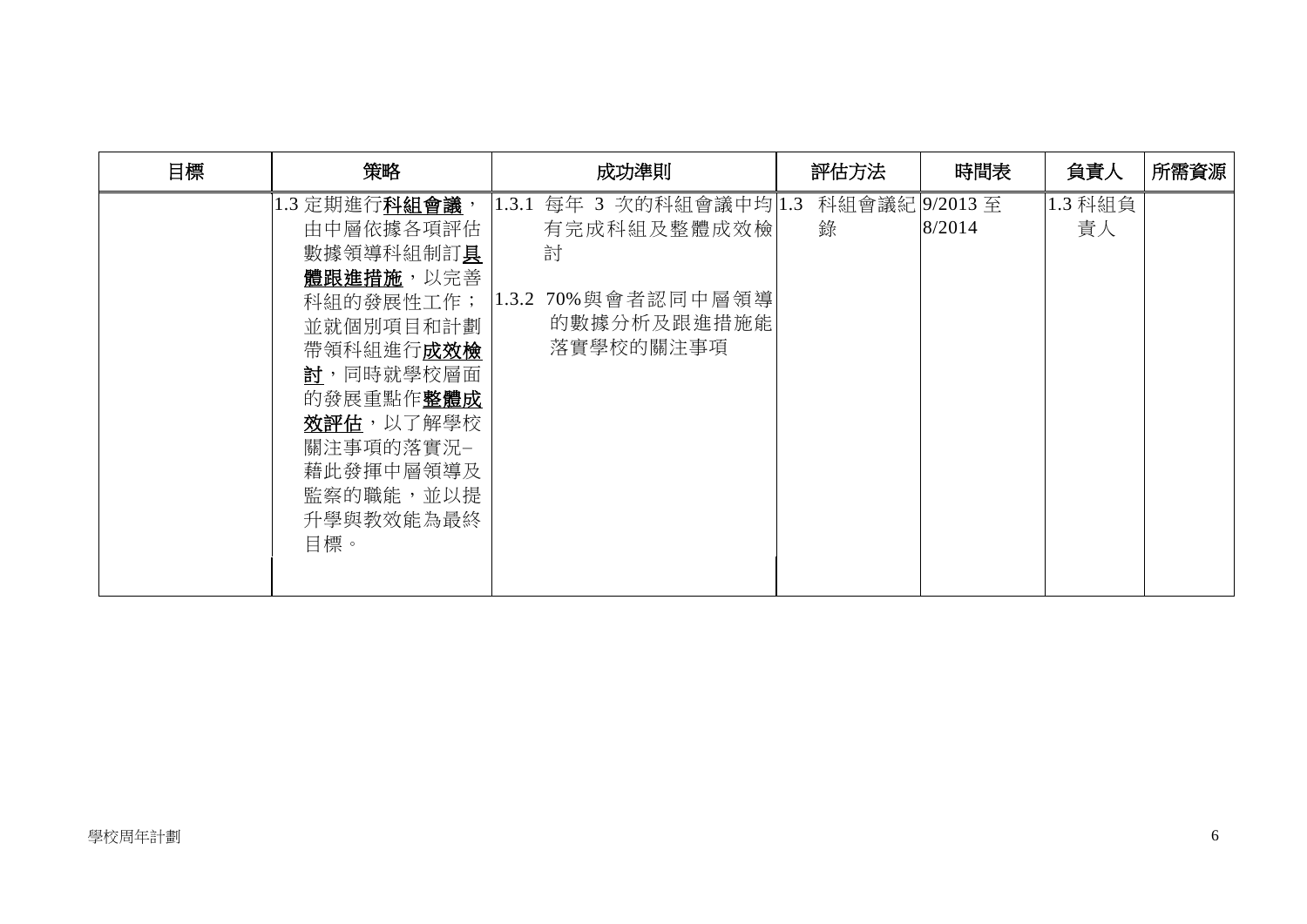| 目標<br>策略             |                                                                                                                                                                                       | 成功準則                                                                                           |   | 評估方法 | 時間表                     | 負責人           | 所需資源 |
|----------------------|---------------------------------------------------------------------------------------------------------------------------------------------------------------------------------------|------------------------------------------------------------------------------------------------|---|------|-------------------------|---------------|------|
| 1.3 定期進行科組會議,<br>目標。 | 由中層依據各項評估<br>數據領導科組制訂具<br>體跟進措施,以完善<br>科組的發展性工作;<br>並就個別項目和計劃<br>帶領科組進行 <b>成效檢</b><br><u>討</u> ,同時就學校層面<br>的發展重點作整體成<br>效評估,以了解學校<br>關注事項的落實況-<br>藉此發揮中層領導及<br>監察的職能,並以提<br>升學與教效能為最終 | 1.3.1 每年 3 次的科組會議中均 1.3<br>有完成科組及整體成效檢<br>討<br>1.3.2 70% 與會者認同中層領導<br>的數據分析及跟進措施能<br>落實學校的關注事項 | 錄 |      | 科組會議紀 9/2013至<br>8/2014 | 1.3 科組負<br>責人 |      |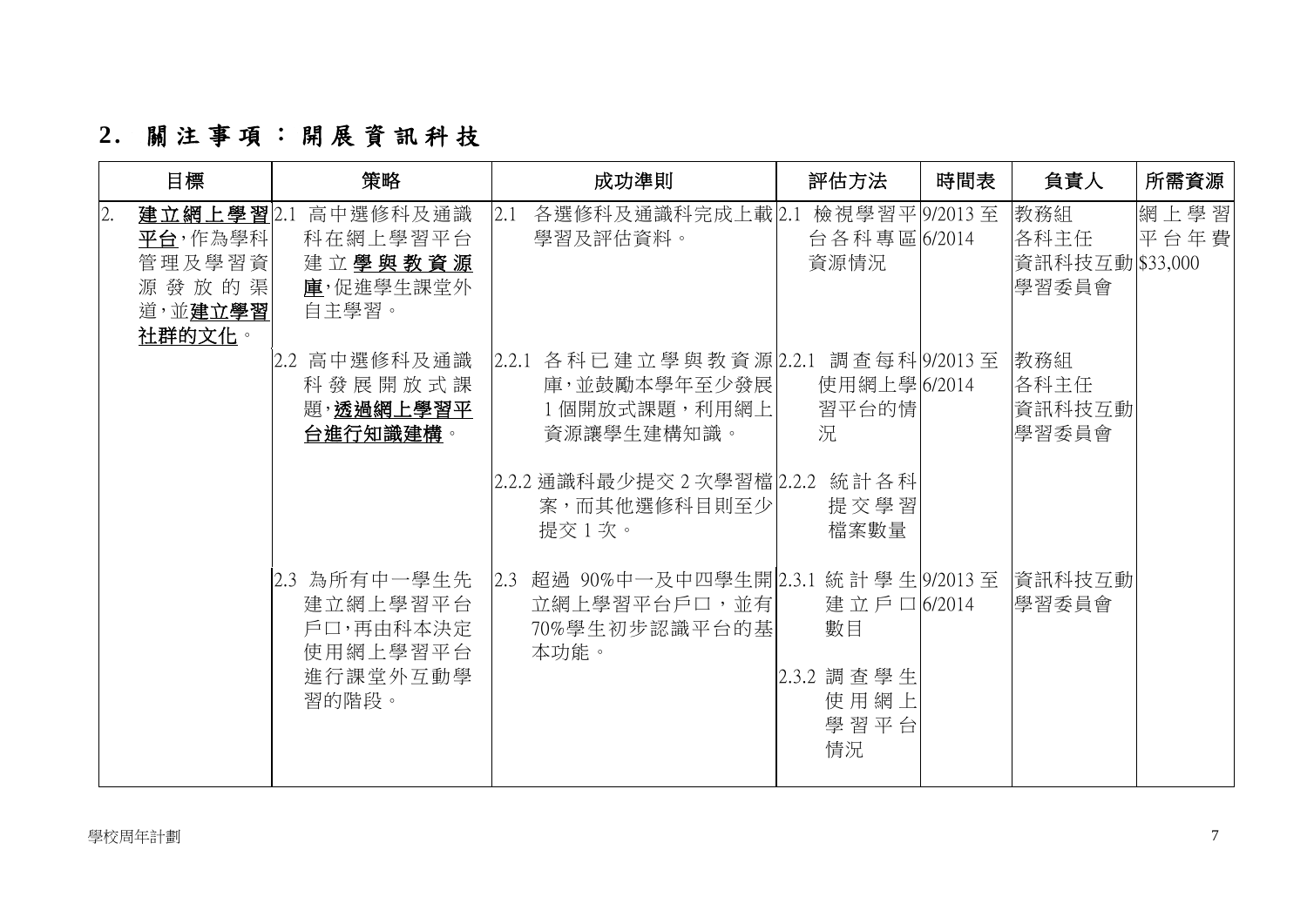# **2 .** 關注事項: 開 展 資 訊 科 技

|    | 目標                                               | 策略                                                                     | 成功準則                                                                                                                                               | 評估方法                                                 | 時間表 | 負責人                                      | 所需資源         |
|----|--------------------------------------------------|------------------------------------------------------------------------|----------------------------------------------------------------------------------------------------------------------------------------------------|------------------------------------------------------|-----|------------------------------------------|--------------|
| 2. | 平台,作為學科 <br>管理及學習資<br>源發放的渠<br>道,並建立學習<br>社群的文化。 | 建立網上學習2.1 高中選修科及通識<br>科在網上學習平台<br>建立學與教資源<br>庫,促進學生課堂外<br>自主學習。        | 各選修科及通識科完成上載 2.1 檢視學習平 9/2013至<br>2.1<br>學習及評估資料。                                                                                                  | 台各科專區 6/2014<br>資源情況                                 |     | 教務組<br>各科主任<br>資訊科技互動 \$33,000<br> 學習委員會 | 網上學習<br>平台年費 |
|    |                                                  | 2.2 高中選修科及通識<br>科發展開放式課<br>題,透過網上學習平<br>台進行知識建構。                       | 2.2.1 各科已建立學與教資源 2.2.1 調查每科 9/2013至<br>庫,並鼓勵本學年至少發展 <br>1個開放式課題,利用網上<br>資源讓學生建構知識。<br> 2.2.2 通識科最少提交 2 次學習檔 2.2.2 統計各科<br>案,而其他選修科目則至少 <br>提交 1 次。 | 使用網上學 6/2014<br>習平台的情<br>況<br>提交學習<br>檔案數量           |     | 教務組<br>各科主任<br>資訊科技互動<br> 學習委員會          |              |
|    |                                                  | 2.3 為所有中一學生先<br>建立網上學習平台<br>戶口,再由科本決定<br>使用網上學習平台<br>進行課堂外互動學<br>習的階段。 | 超過 90%中一及中四學生開 2.3.1 統計 學 生 9/2013 至<br>2.3<br>立網上學習平台戶口,並有 <br>70%學生初步認識平台的基<br>本功能。                                                              | 建立戶口6/2014<br>數目<br>2.3.2 調查學生<br>使用網上<br>學習平台<br>情況 |     | 資訊科技互動<br>學習委員會                          |              |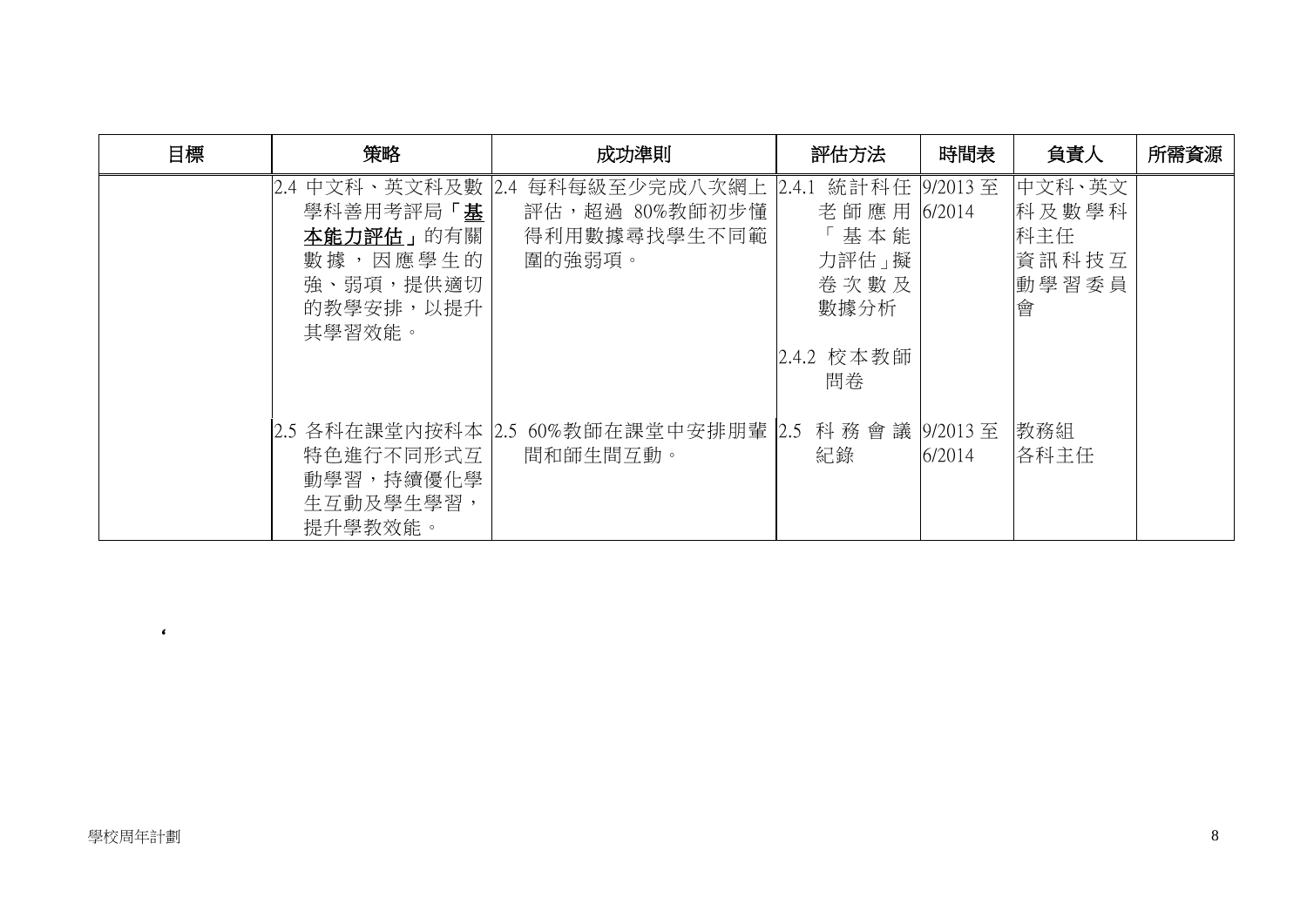| 目標 | 策略                                                                                            | 成功準則                                                                | 評估方法                                                                 | 時間表    | 負責人                                           | 所需資源 |
|----|-----------------------------------------------------------------------------------------------|---------------------------------------------------------------------|----------------------------------------------------------------------|--------|-----------------------------------------------|------|
|    | 2.4 中文科、英文科及數  2.4 <br>學科善用考評局「基<br>本能力評估」的有關<br>數據,因應學生的<br>強、弱項,提供適切<br>的教學安排,以提升<br>其學習效能。 | 每科每級至少完成八次網上<br>評估,超過 80%教師初步懂<br>得利用數據尋找學生不同範<br>圍的強弱項。            | 2.4.1 統計科任   9/2013 至<br>老師應用 6/2014<br>基本能<br>力評估」擬<br>卷次數及<br>數據分析 |        | 中文科、英文<br>科及數學科<br>科主任<br>資訊科技互<br>動學習委員<br>會 |      |
|    |                                                                                               |                                                                     | 2.4.2 校本教師<br>問卷                                                     |        |                                               |      |
|    | 特色進行不同形式互<br>動學習,持續優化學<br>生互動及學生學習,<br>提升學教效能。                                                | 2.5 各科在課堂内按科本  2.5 60%教師在課堂中安排朋輩  2.5 科 務 會 議  9/2013 至<br>間和師生間互動。 | 紀錄                                                                   | 6/2014 | 教務組<br>各科主任                                   |      |

 $\epsilon$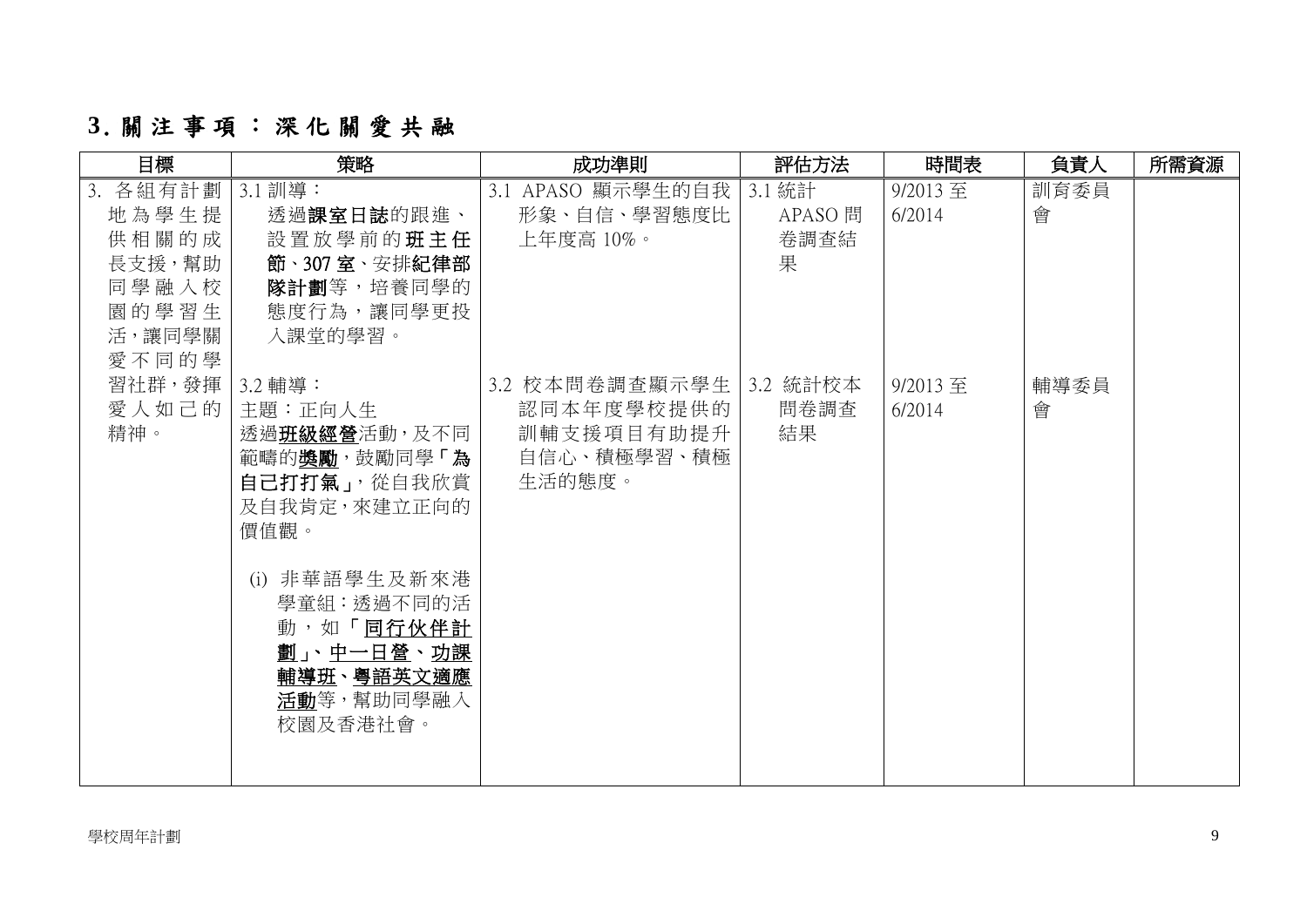# **3**.關注事項: 深化關愛共融

| 目標                                                                        | 策略                                                                                                    | 成功準則                                                                           | 評估方法                           | 時間表                  | 負責人       | 所需資源 |
|---------------------------------------------------------------------------|-------------------------------------------------------------------------------------------------------|--------------------------------------------------------------------------------|--------------------------------|----------------------|-----------|------|
| 3. 各組有計劃<br>地為學生提<br>供相關的成<br>長支援,幫助<br>同學融入校<br>園的學習生<br>活,讓同學關<br>愛不同的學 | 3.1 訓導:<br>透過課室日誌的跟進、<br>設置放學前的班主任<br>節、307室、安排紀律部<br><b>隊計劃</b> 等,培養同學的<br>態度行為,讓同學更投<br>入課堂的學習。     | 3.1 APASO 顯示學生的自我<br>形象、自信、學習態度比<br>上年度高 10%。                                  | 3.1 統計<br>APASO 問<br>卷調查結<br>果 | $9/2013$ 至<br>6/2014 | 訓育委員<br>會 |      |
| 習社群,發揮   3.2 輔導:<br>愛人如己的 <br>精神。                                         | 主題:正向人生<br>透過班級經營活動,及不同 <br>範疇的獎勵,鼓勵同學「為 <br>自己打打氣」,從自我欣賞<br>及自我肯定, 來建立正向的<br>價值觀。                    | 3.2 校本問卷調查顯示學生   3.2 統計校本<br>認同本年度學校提供的<br>訓輔支援項目有助提升<br>自信心、積極學習、積極<br>生活的態度。 | 問卷調查<br>結果                     | $9/2013$ 至<br>6/2014 | 輔導委員<br>會 |      |
|                                                                           | (i) 非華語學生及新來港<br>學童組:透過不同的活<br>動,如「同行伙伴計<br><u>劃」、中一日營、功課</u><br>輔導班、粤語英文適應<br>活動等,幫助同學融入<br>校園及香港社會。 |                                                                                |                                |                      |           |      |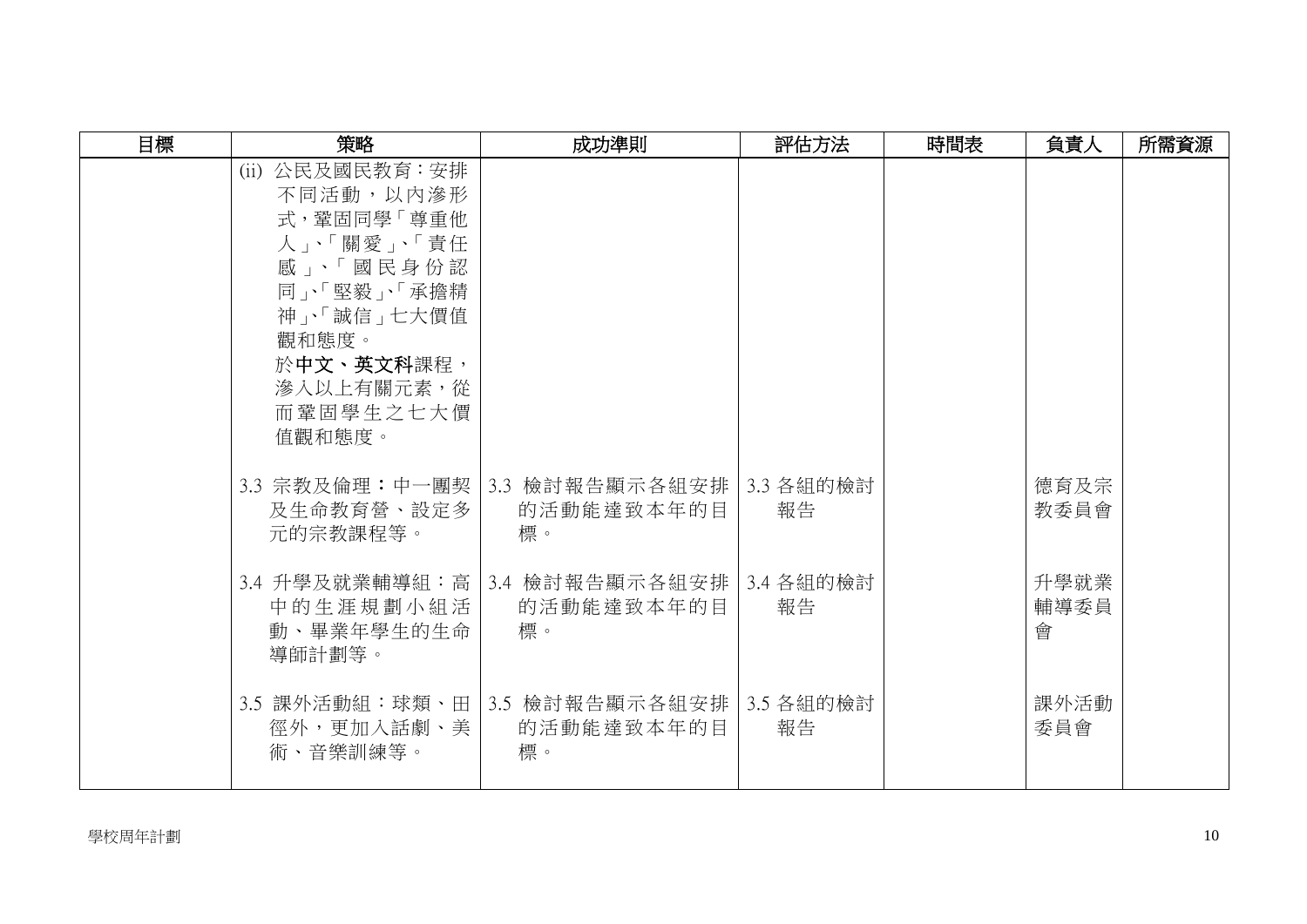| 目標 | 策略                                                                                                                                                                         | 成功準則                                                            | 評估方法 | 時間表 | 負責人               | 所需資源 |
|----|----------------------------------------------------------------------------------------------------------------------------------------------------------------------------|-----------------------------------------------------------------|------|-----|-------------------|------|
|    | (ii) 公民及國民教育: 安排<br>不同活動,以内滲形<br>式, 鞏固同學「尊重他<br>人」、「關愛」、「責任<br>感」、「國民身份認<br>同」、「堅毅」、「承擔精<br>神」、「誠信」七大價值<br>觀和態度。<br>於中文、英文科課程,<br><b>渗入以上有關元素,從</b><br>而鞏固學生之七大價<br>值觀和態度。 |                                                                 |      |     |                   |      |
|    | 3.3 宗教及倫理:中一團契 <br>及生命教育營、設定多<br>元的宗教課程等。                                                                                                                                  | 3.3 檢討報告顯示各組安排   3.3 各組的檢討<br>的活動能達致本年的目<br>標。                  | 報告   |     | 德育及宗<br>教委員會      |      |
|    | 中的生涯規劃小組活<br>動、畢業年學生的生命<br>導師計劃等。                                                                                                                                          | 3.4 升學及就業輔導組:高   3.4 檢討報告顯示各組安排   3.4 各組的檢討<br>的活動能達致本年的目<br>標。 | 報告   |     | 升學就業<br>輔導委員<br>會 |      |
|    | 徑外,更加入話劇、美<br>術、音樂訓練等。                                                                                                                                                     | 3.5 課外活動組:球類、田 3.5 檢討報告顯示各組安排 3.5 各組的檢討<br>的活動能達致本年的目<br>標。     | 報告   |     | 課外活動<br>委員會       |      |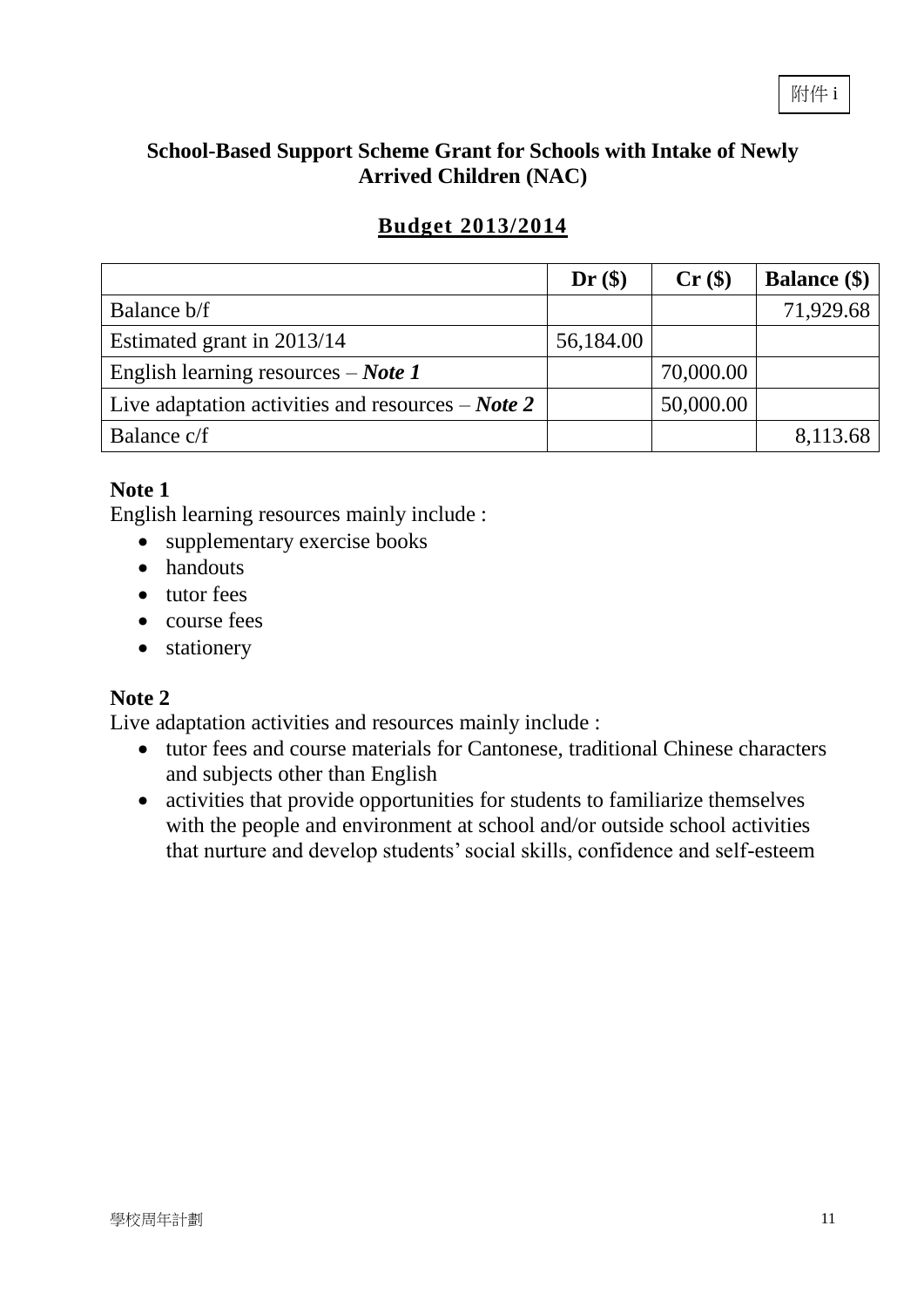#### **School-Based Support Scheme Grant for Schools with Intake of Newly Arrived Children (NAC)**

## **Budget 2013/2014**

|                                                            | Dr(\$)    | $Cr($ \$) | <b>Balance</b> (\$) |
|------------------------------------------------------------|-----------|-----------|---------------------|
| Balance b/f                                                |           |           | 71,929.68           |
| Estimated grant in 2013/14                                 | 56,184.00 |           |                     |
| English learning resources $-$ <i>Note 1</i>               |           | 70,000.00 |                     |
| Live adaptation activities and resources $-$ <i>Note</i> 2 |           | 50,000.00 |                     |
| Balance c/f                                                |           |           | 8,113.68            |

#### **Note 1**

English learning resources mainly include :

- supplementary exercise books
- handouts
- tutor fees
- course fees
- stationery

#### **Note 2**

Live adaptation activities and resources mainly include :

- tutor fees and course materials for Cantonese, traditional Chinese characters and subjects other than English
- activities that provide opportunities for students to familiarize themselves with the people and environment at school and/or outside school activities that nurture and develop students' social skills, confidence and self-esteem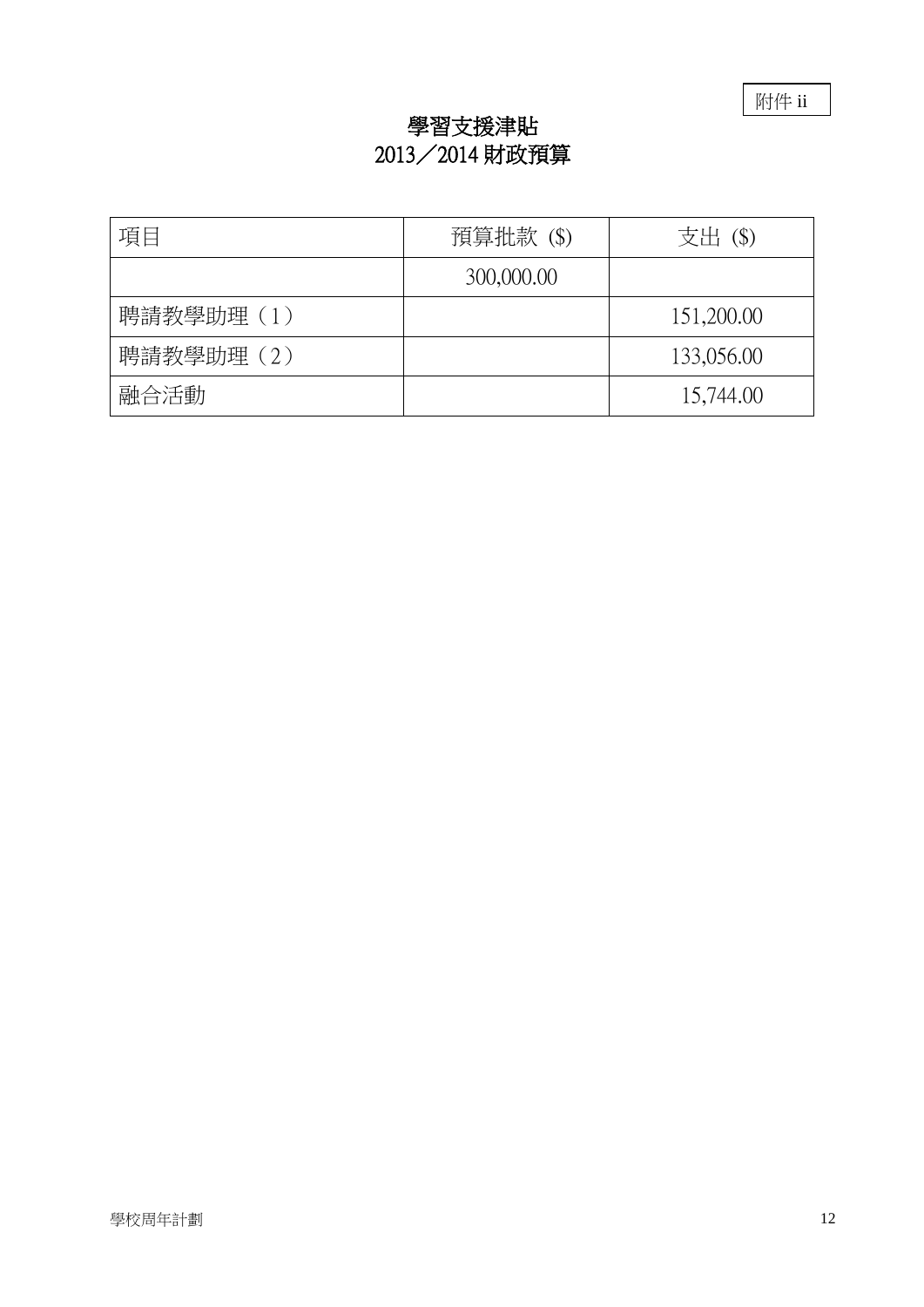附件 ii

## 學習支援津貼 2013/2014 財政預算

| 項目        | 預算批款 (\$)  | 支出 (\$)    |
|-----------|------------|------------|
|           | 300,000.00 |            |
| 聘請教學助理(1) |            | 151,200.00 |
| 聘請教學助理(2) |            | 133,056.00 |
| 融合活動      |            | 15,744.00  |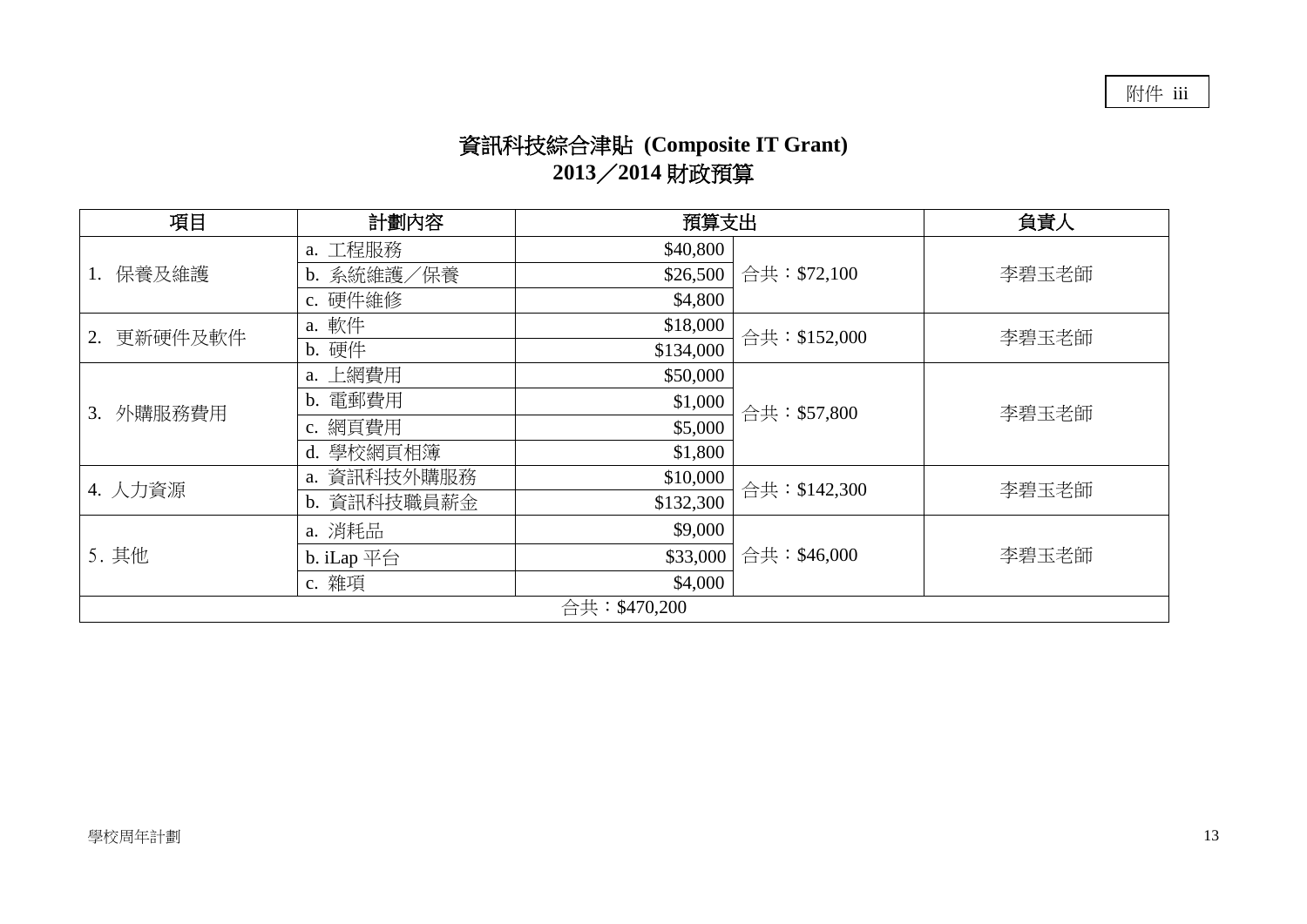# 資訊科技綜合津貼 **(Composite IT Grant) 2013**/**2014** 財政預算

| 項目<br>預算支出<br>計劃內容 |                                    | 負責人       |               |       |  |  |  |  |
|--------------------|------------------------------------|-----------|---------------|-------|--|--|--|--|
|                    | a. 工程服務                            | \$40,800  |               |       |  |  |  |  |
| 保養及維護              | b. 系統維護/保養                         | \$26,500  | 合共: \$72,100  | 李碧玉老師 |  |  |  |  |
|                    | c. 硬件維修                            | \$4,800   |               |       |  |  |  |  |
| 更新硬件及軟件<br>2.      | a. 軟件<br>\$18,000<br>合共: \$152,000 | 李碧玉老師     |               |       |  |  |  |  |
|                    | b. 硬件                              | \$134,000 |               |       |  |  |  |  |
|                    | a. 上網費用                            | \$50,000  |               |       |  |  |  |  |
| 外購服務費用<br>3.       | 電郵費用<br>$\mathbf{b}$ .             | \$1,000   | 合共: \$57,800  | 李碧玉老師 |  |  |  |  |
|                    | c. 網頁費用                            | \$5,000   |               |       |  |  |  |  |
|                    | d. 學校網頁相簿                          | \$1,800   |               |       |  |  |  |  |
| 4. 人力資源            | a. 資訊科技外購服務                        | \$10,000  | 合共: \$142,300 | 李碧玉老師 |  |  |  |  |
|                    | b. 資訊科技職員薪金                        | \$132,300 |               |       |  |  |  |  |
|                    | a. 消耗品                             | \$9,000   |               |       |  |  |  |  |
| 5. 其他              | b. iLap $\overline{\mathcal{F}}$ 台 | \$33,000  | 合共: \$46,000  | 李碧玉老師 |  |  |  |  |
|                    | c. 雜項                              | \$4,000   |               |       |  |  |  |  |
|                    | 合共:\$470,200                       |           |               |       |  |  |  |  |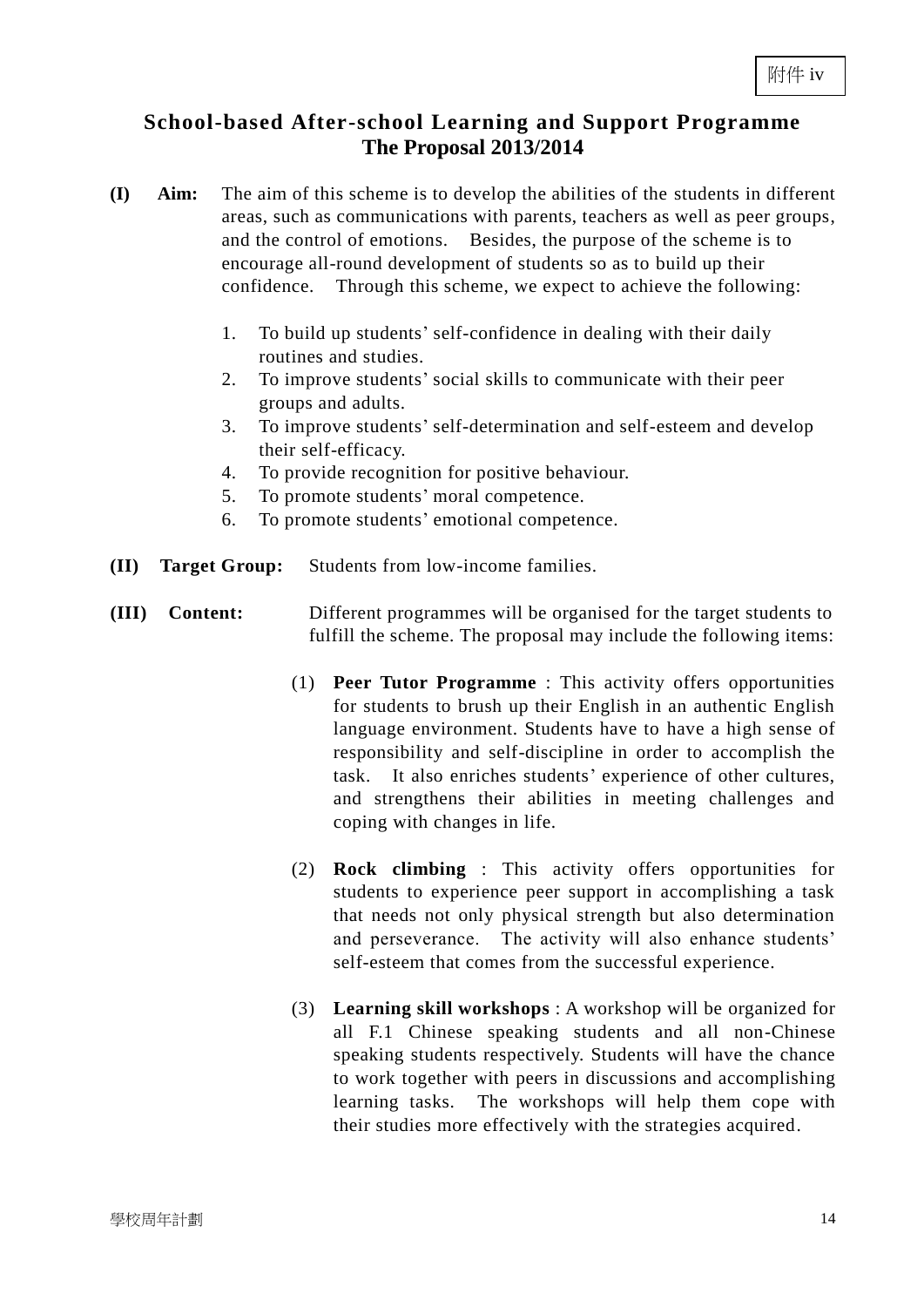#### **School-based After-school Learning and Support Programme The Proposal 2013/2014**

- **(I) Aim:** The aim of this scheme is to develop the abilities of the students in different areas, such as communications with parents, teachers as well as peer groups, and the control of emotions. Besides, the purpose of the scheme is to encourage all-round development of students so as to build up their confidence. Through this scheme, we expect to achieve the following:
	- 1. To build up students' self-confidence in dealing with their daily routines and studies.
	- 2. To improve students' social skills to communicate with their peer groups and adults.
	- 3. To improve students' self-determination and self-esteem and develop their self-efficacy.
	- 4. To provide recognition for positive behaviour.
	- 5. To promote students' moral competence.
	- 6. To promote students' emotional competence.
- **(II) Target Group:** Students from low-income families.
- **(III) Content:** Different programmes will be organised for the target students to fulfill the scheme. The proposal may include the following items:
	- (1) **Peer Tutor Programme** : This activity offers opportunities for students to brush up their English in an authentic English language environment. Students have to have a high sense of responsibility and self-discipline in order to accomplish the task. It also enriches students' experience of other cultures, and strengthens their abilities in meeting challenges and coping with changes in life.
	- (2) **Rock climbing** : This activity offers opportunities for students to experience peer support in accomplishing a task that needs not only physical strength but also determination and perseverance. The activity will also enhance students' self-esteem that comes from the successful experience.
	- (3) **Learning skill workshops** : A workshop will be organized for all F.1 Chinese speaking students and all non-Chinese speaking students respectively. Students will have the chance to work together with peers in discussions and accomplishing learning tasks. The workshops will help them cope with their studies more effectively with the strategies acquired.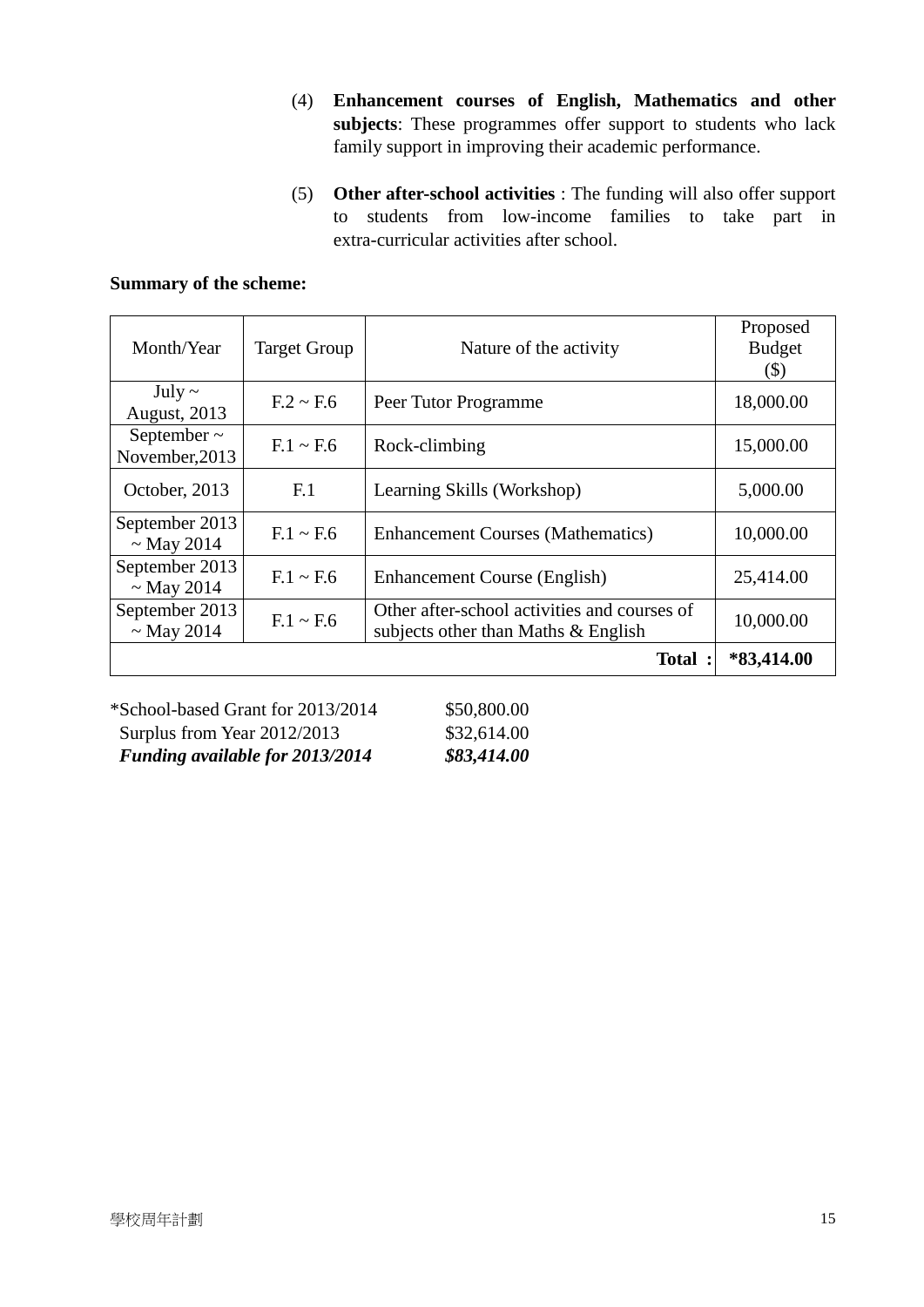- (4) **Enhancement courses of English, Mathematics and other subjects**: These programmes offer support to students who lack family support in improving their academic performance.
- (5) **Other after-school activities** : The funding will also offer support to students from low-income families to take part in extra-curricular activities after school.

| Month/Year                         | <b>Target Group</b> | Nature of the activity                                                              | Proposed<br><b>Budget</b><br>(\$) |
|------------------------------------|---------------------|-------------------------------------------------------------------------------------|-----------------------------------|
| July $\sim$<br><b>August, 2013</b> | $F.2 \sim F.6$      | Peer Tutor Programme                                                                | 18,000.00                         |
| September $\sim$<br>November, 2013 | $F.1 \sim F.6$      | Rock-climbing                                                                       | 15,000.00                         |
| October, 2013                      | F <sub>1</sub>      | Learning Skills (Workshop)                                                          | 5,000.00                          |
| September 2013<br>$\sim$ May 2014  | $F.1 \sim F.6$      | <b>Enhancement Courses (Mathematics)</b>                                            | 10,000.00                         |
| September 2013<br>$\sim$ May 2014  | $F.1 \sim F.6$      | Enhancement Course (English)                                                        | 25,414.00                         |
| September 2013<br>$\sim$ May 2014  | $F.1 \sim F.6$      | Other after-school activities and courses of<br>subjects other than Maths & English | 10,000.00                         |
|                                    |                     | Total :                                                                             | $*83,414.00$                      |

#### **Summary of the scheme:**

\*School-based Grant for 2013/2014 \$50,800.00 Surplus from Year 2012/2013 \$32,614.00 *Funding available for 2013/2014 \$83,414.00*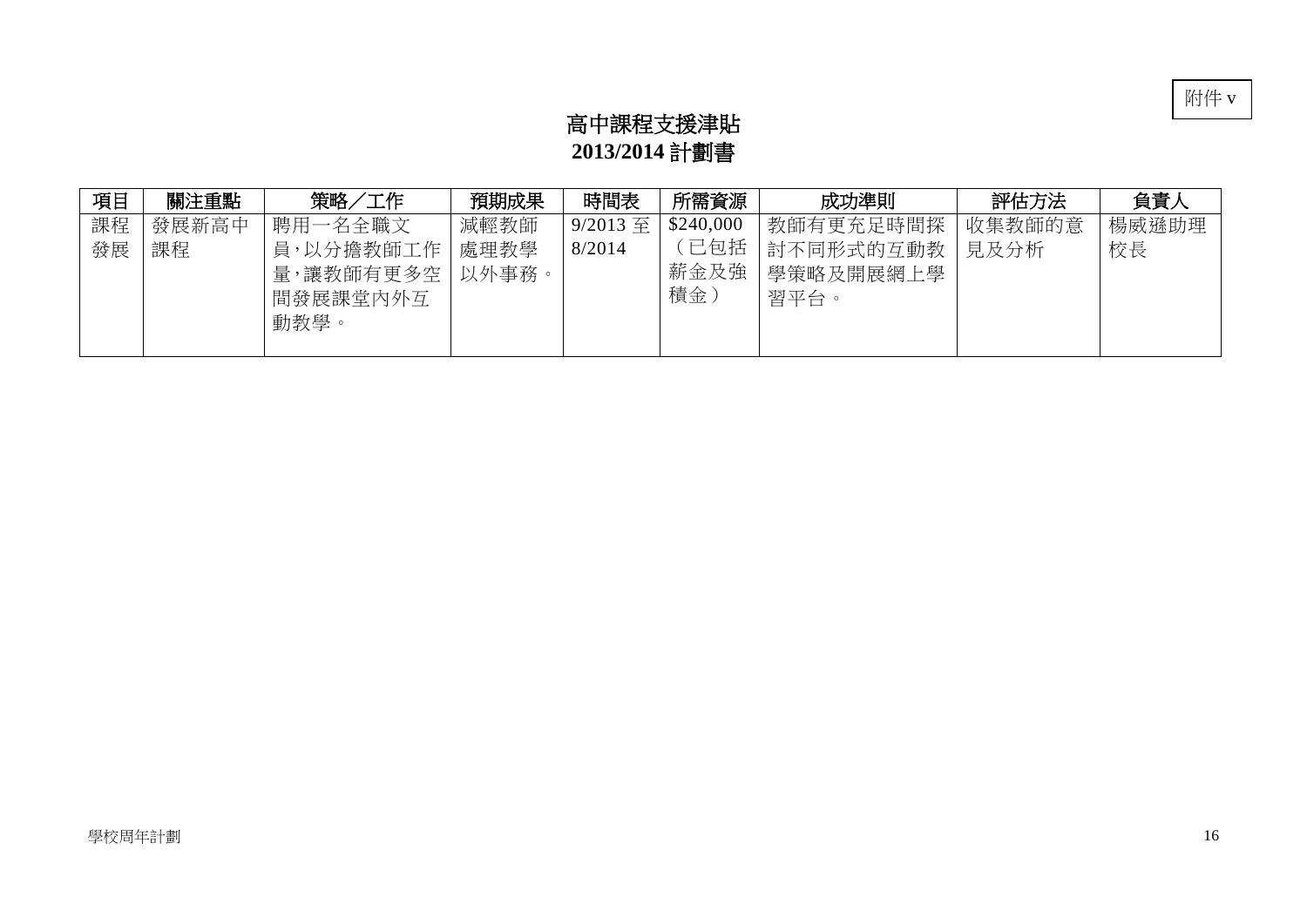

# 高中課程支援津貼 **2013/2014** 計劃書

| 項目 | 關注重點  | 策略/工作                                      | 預期成果          | 時間表        | 所需資源              | 成功準則                           | 評估方法   | 負責人   |
|----|-------|--------------------------------------------|---------------|------------|-------------------|--------------------------------|--------|-------|
| 課程 | 發展新高中 | 聘用一名全職文                                    | 減輕教師          | $9/2013$ 至 | \$240,000         | 教師有更充足時間探                      | 收集教師的意 | 楊威遜助理 |
| 發展 | 課程    | 員,以分擔教師工作<br>量,讓教師有更多空<br>間發展課堂內外互<br>動教學。 | 處理教學<br>以外事務。 | 8/2014     | 已包括<br>薪金及強<br>積金 | 討不同形式的互動教<br>學策略及開展網上學<br>習平台。 | 見及分析   | 校長    |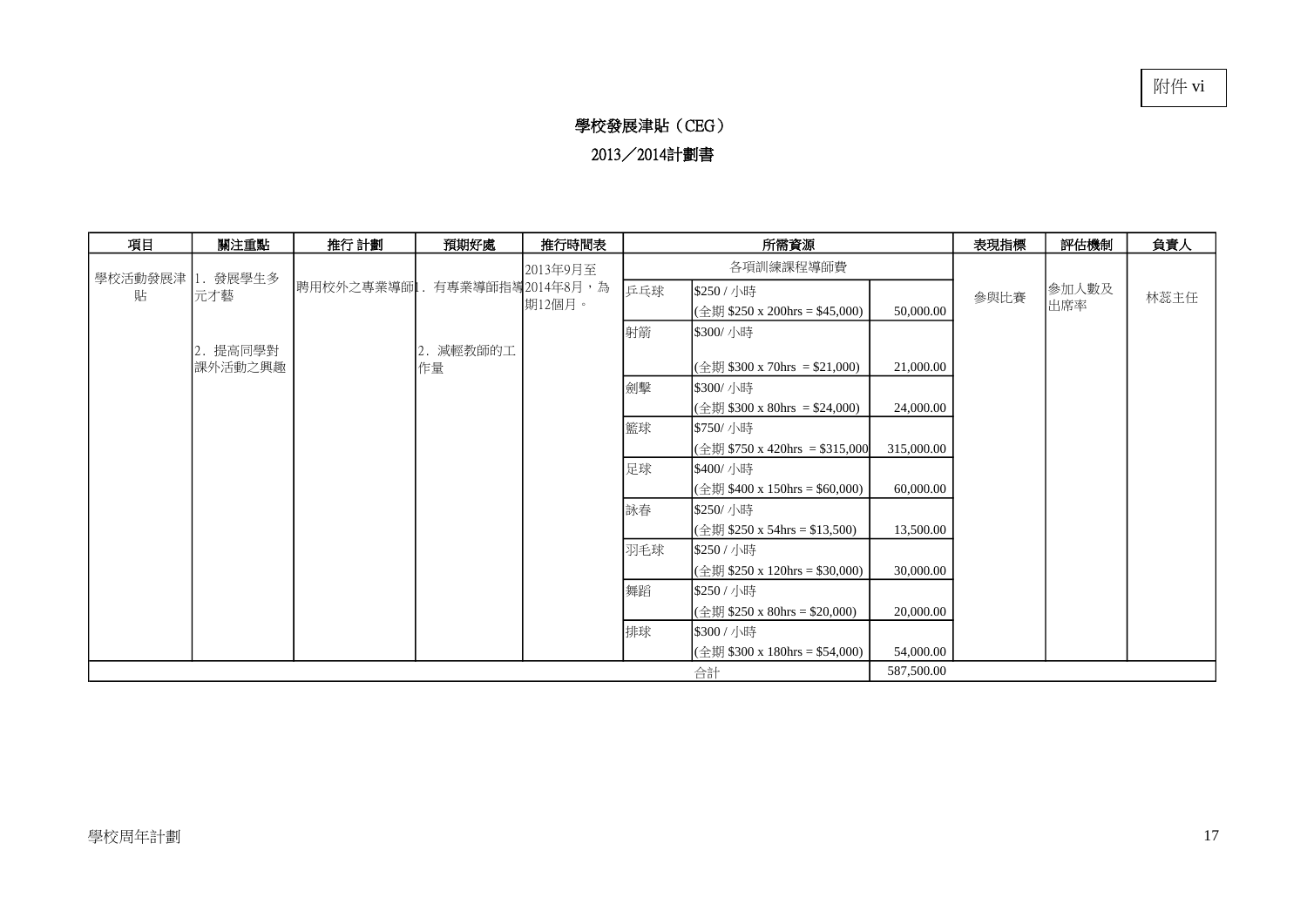#### 學校發展津貼(CEG) 2013/2014計劃書

| 項目               | 關注重點            | 推行 計劃     | 預期好處             | 推行時間表    |           | 所需資源                                      | 表現指標       | 評估機制 | 負責人   |      |
|------------------|-----------------|-----------|------------------|----------|-----------|-------------------------------------------|------------|------|-------|------|
|                  |                 |           |                  | 2013年9月至 | 各項訓練課程導師費 |                                           |            |      |       |      |
| 學校活動發展津<br>貼     | 1. 發展學生多<br>元才藝 | 聘用校外之專業導師 | 有專業導師指導2014年8月,為 |          | 乒乓球       | \$250 / 小時                                |            | 參與比賽 | 参加人數及 | 林蕊主任 |
|                  |                 |           |                  | 期12個月。   |           | (全期 \$250 x 200hrs = \$45,000)            | 50,000.00  |      | 出席率   |      |
|                  |                 |           |                  |          | 射箭        | \$300/ 小時                                 |            |      |       |      |
|                  | 2. 提高同學對        |           | 2. 減輕教師的工        |          |           |                                           |            |      |       |      |
|                  | 課外活動之興趣         |           | 作量               |          |           | (全期 \$300 x 70hrs = \$21,000)             | 21,000.00  |      |       |      |
|                  |                 |           |                  |          | 劍擊        | \$300/ 小時                                 |            |      |       |      |
|                  |                 |           |                  |          |           | $(\triangle 1)$ \$300 x 80hrs = \$24,000) | 24,000.00  |      |       |      |
|                  |                 |           |                  |          | 籃球        | \$750/ 小時                                 |            |      |       |      |
|                  |                 |           |                  |          |           | (全期 \$750 x 420hrs = \$315,000            | 315,000.00 |      |       |      |
|                  |                 |           |                  |          | 足球        | \$400/ 小時                                 |            |      |       |      |
|                  |                 |           |                  |          |           | (全期 \$400 x 150hrs = \$60,000)            | 60,000.00  |      |       |      |
|                  |                 |           |                  |          | 詠春        | \$250/ 小時                                 |            |      |       |      |
|                  |                 |           |                  |          |           | (全期 \$250 x 54hrs = \$13,500)             | 13,500.00  |      |       |      |
|                  |                 |           |                  |          | 羽毛球       | \$250 / 小時                                |            |      |       |      |
|                  |                 |           |                  |          |           | (全期 \$250 x 120hrs = \$30,000)            | 30,000.00  |      |       |      |
|                  |                 |           |                  |          | 舞蹈        | \$250 / 小時                                |            |      |       |      |
|                  |                 |           |                  |          |           | (全期 \$250 x 80hrs = \$20,000)             | 20,000.00  |      |       |      |
|                  |                 |           |                  |          | 排球        | \$300 / 小時                                |            |      |       |      |
|                  |                 |           |                  |          |           | (全期 \$300 x 180hrs = \$54,000)            | 54,000.00  |      |       |      |
| 587,500.00<br>合計 |                 |           |                  |          |           |                                           |            |      |       |      |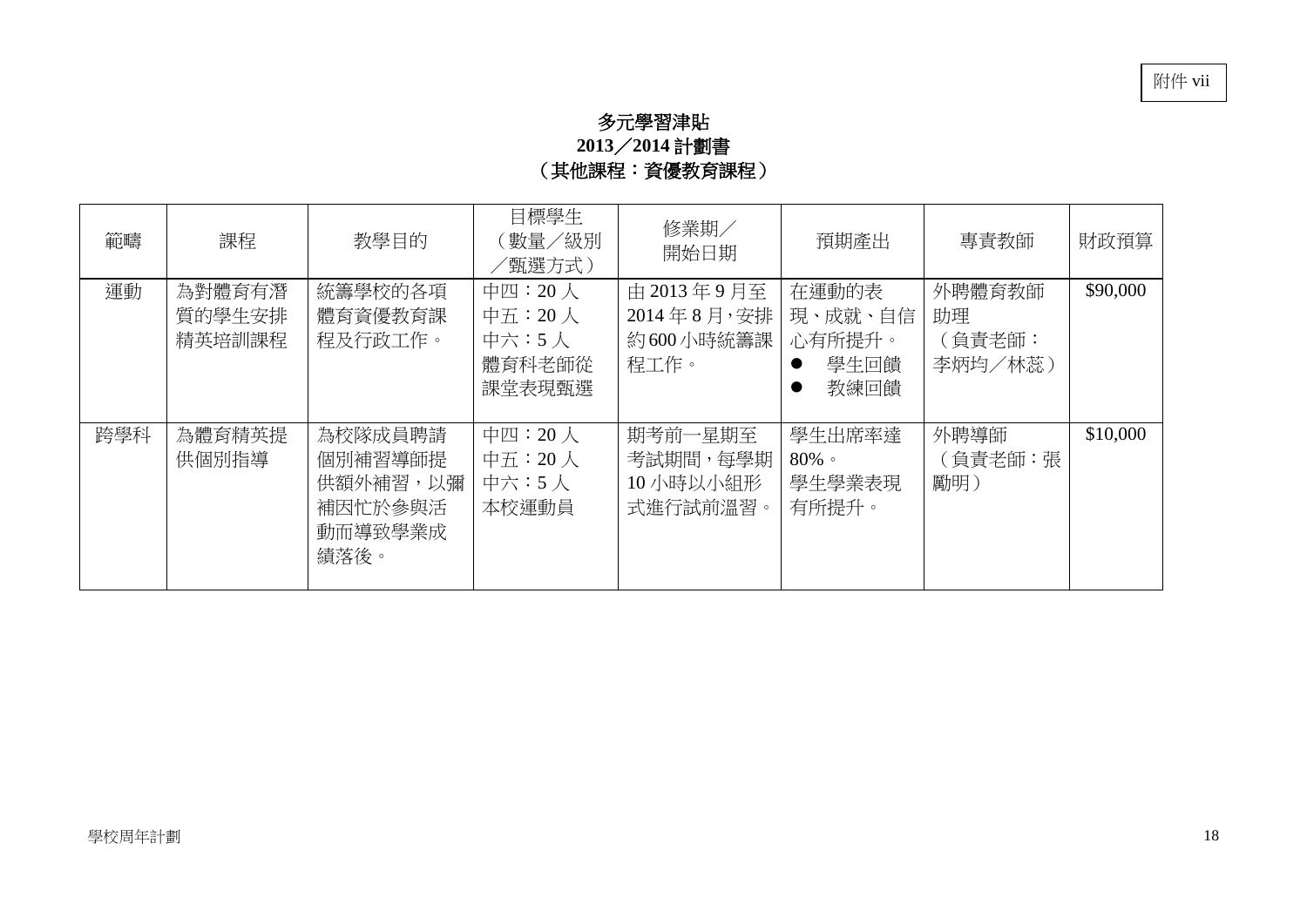## 多元學習津貼 **2013**/**2014** 計劃書 (其他課程:資優教育課程)

| 範疇  | 課程                         | 教學目的                                                         | 目標學生<br>(數量/級別<br>/甄選方式)                                 | 修業期/<br>開始日期                                  | 預期產出                                       | 專責教師                              | 財政預算     |
|-----|----------------------------|--------------------------------------------------------------|----------------------------------------------------------|-----------------------------------------------|--------------------------------------------|-----------------------------------|----------|
| 運動  | 為對體育有潛<br>質的學生安排<br>精英培訓課程 | 統籌學校的各項<br>體育資優教育課<br>程及行政工作。                                | 中四: 20人<br>中五: $20 \lambda$<br>中六:5人<br>體育科老師從<br>課堂表現甄選 | 由 2013年9月至<br>2014年8月,安排<br>約600小時統籌課<br>程工作。 | 在運動的表<br>現、成就、自信<br>心有所提升。<br>學牛回饋<br>教練回饋 | 外聘體育教師<br>助理<br>(負責老師:<br>李炳均/林蕊) | \$90,000 |
| 跨學科 | 為體育精英提<br>供個別指導            | 為校隊成員聘請<br>個別補習導師提<br>供額外補習,以彌<br>補因忙於參與活<br>動而導致學業成<br>績落後。 | 中四: 20人<br>中五: $20 \lambda$<br>中六:5人<br>本校運動員            | 期考前一星期至<br>考試期間,每學期<br>10 小時以小組形<br>式進行試前溫習。  | 學生出席率達<br>$80\%$<br>學生學業表現<br>有所提升。        | 外聘導師<br>(負責老師:張<br>勵明)            | \$10,000 |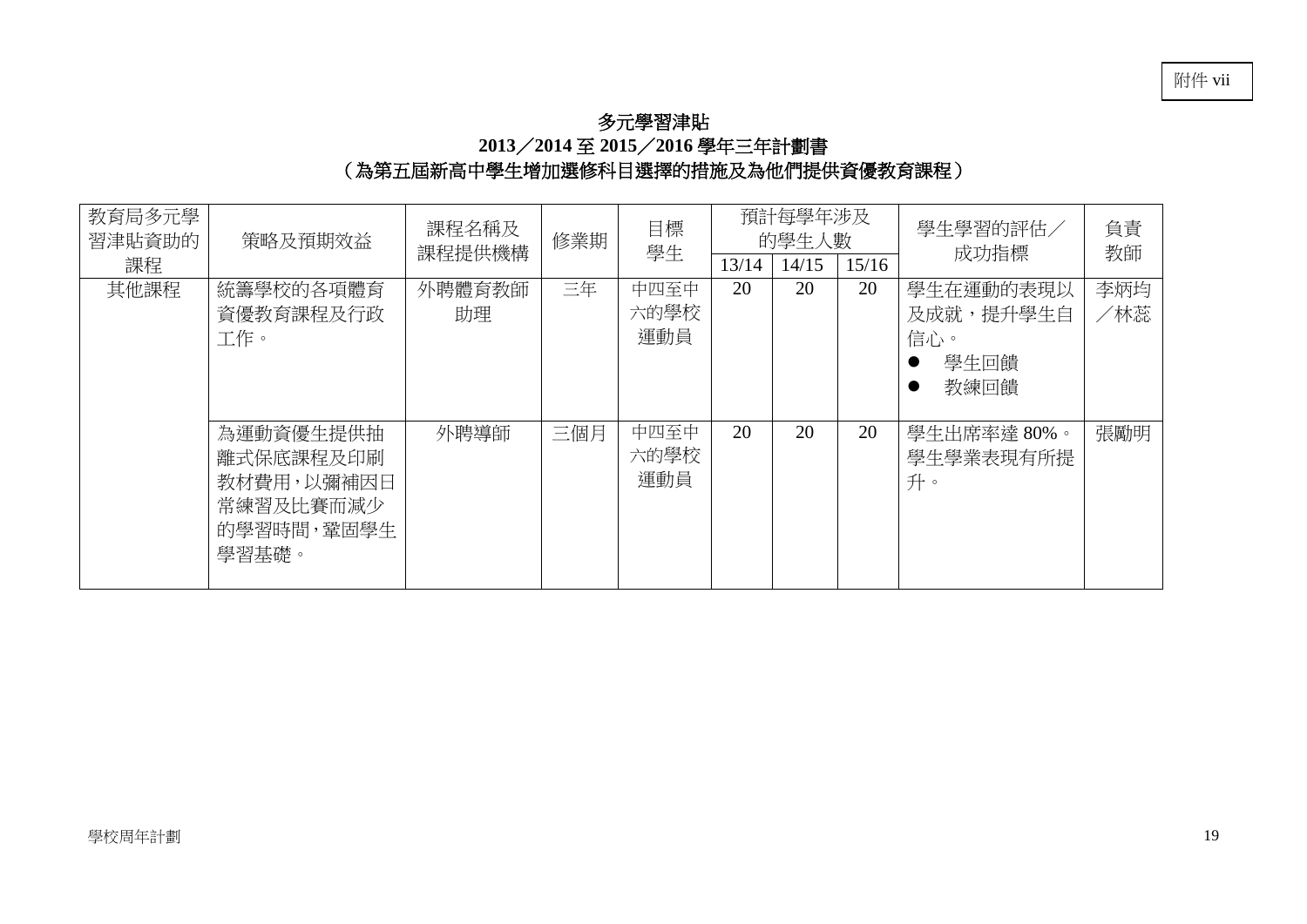#### 多元學習津貼 **2013**/**2014** 至 **2015**/**2016** 學年三年計劃書 (為第五屆新高中學生增加選修科目選擇的措施及為他們提供資優教育課程)

| 教育局多元學<br>習津貼資助的<br>課程 | 策略及預期效益                                                                   | 課程名稱及<br>修業期<br>課程提供機構 |     | 目標<br>學生            | 預計每學年涉及<br>的學生人數<br>13/14<br>14/15 |    | 15/16 | 學生學習的評估/<br>成功指標                              | 負責<br>教師   |
|------------------------|---------------------------------------------------------------------------|------------------------|-----|---------------------|------------------------------------|----|-------|-----------------------------------------------|------------|
| 其他課程                   | 統籌學校的各項體育<br>資優教育課程及行政<br>工作。                                             | 外聘體育教師<br>助理           | 三年  | 中四至中<br>六的學校<br>運動員 | 20                                 | 20 | 20    | 學生在運動的表現以<br>及成就,提升學生自<br>信心。<br>學生回饋<br>教練回饋 | 李炳均<br>/林蕊 |
|                        | 為運動資優生提供抽<br>離式保底課程及印刷<br>教材費用,以彌補因日<br>常練習及比賽而減少<br>的學習時間, 鞏固學生<br>學習基礎。 | 外聘導師                   | 三個月 | 中四至中<br>六的學校<br>運動員 | 20                                 | 20 | 20    | 學生出席率達 80%。<br>學生學業表現有所提<br>升。                | 張勵明        |